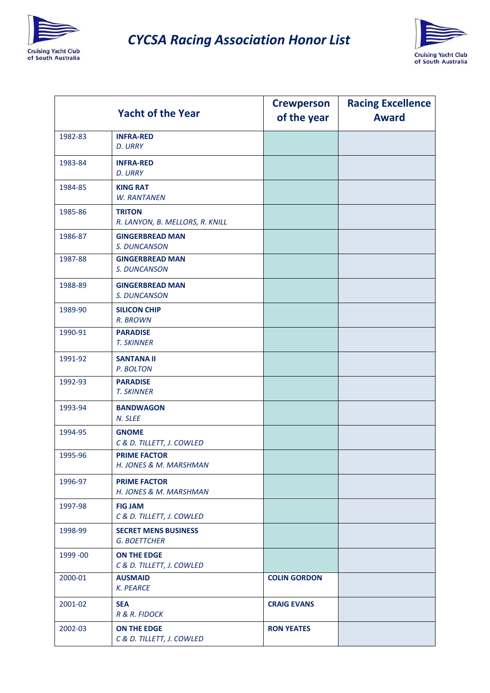

## *CYCSA Racing Association Honor List*



|           | <b>Yacht of the Year</b>                           | <b>Crewperson</b><br>of the year | <b>Racing Excellence</b><br><b>Award</b> |
|-----------|----------------------------------------------------|----------------------------------|------------------------------------------|
| 1982-83   | <b>INFRA-RED</b><br>D. URRY                        |                                  |                                          |
| 1983-84   | <b>INFRA-RED</b><br>D. URRY                        |                                  |                                          |
| 1984-85   | <b>KING RAT</b><br><b>W. RANTANEN</b>              |                                  |                                          |
| 1985-86   | <b>TRITON</b><br>R. LANYON, B. MELLORS, R. KNILL   |                                  |                                          |
| 1986-87   | <b>GINGERBREAD MAN</b><br>S. DUNCANSON             |                                  |                                          |
| 1987-88   | <b>GINGERBREAD MAN</b><br>S. DUNCANSON             |                                  |                                          |
| 1988-89   | <b>GINGERBREAD MAN</b><br>S. DUNCANSON             |                                  |                                          |
| 1989-90   | <b>SILICON CHIP</b><br>R. BROWN                    |                                  |                                          |
| 1990-91   | <b>PARADISE</b><br><b>T. SKINNER</b>               |                                  |                                          |
| 1991-92   | <b>SANTANA II</b><br>P. BOLTON                     |                                  |                                          |
| 1992-93   | <b>PARADISE</b><br><b>T. SKINNER</b>               |                                  |                                          |
| 1993-94   | <b>BANDWAGON</b><br>N. SLEE                        |                                  |                                          |
| 1994-95   | <b>GNOME</b><br>C & D. TILLETT, J. COWLED          |                                  |                                          |
| 1995-96   | <b>PRIME FACTOR</b><br>H. JONES & M. MARSHMAN      |                                  |                                          |
| 1996-97   | <b>PRIME FACTOR</b><br>H. JONES & M. MARSHMAN      |                                  |                                          |
| 1997-98   | <b>FIG JAM</b><br>C & D. TILLETT, J. COWLED        |                                  |                                          |
| 1998-99   | <b>SECRET MENS BUSINESS</b><br><b>G. BOETTCHER</b> |                                  |                                          |
| 1999 - 00 | ON THE EDGE<br>C & D. TILLETT, J. COWLED           |                                  |                                          |
| 2000-01   | <b>AUSMAID</b><br><b>K. PEARCE</b>                 | <b>COLIN GORDON</b>              |                                          |
| 2001-02   | <b>SEA</b><br>R & R. FIDOCK                        | <b>CRAIG EVANS</b>               |                                          |
| 2002-03   | ON THE EDGE<br>C & D. TILLETT, J. COWLED           | <b>RON YEATES</b>                |                                          |